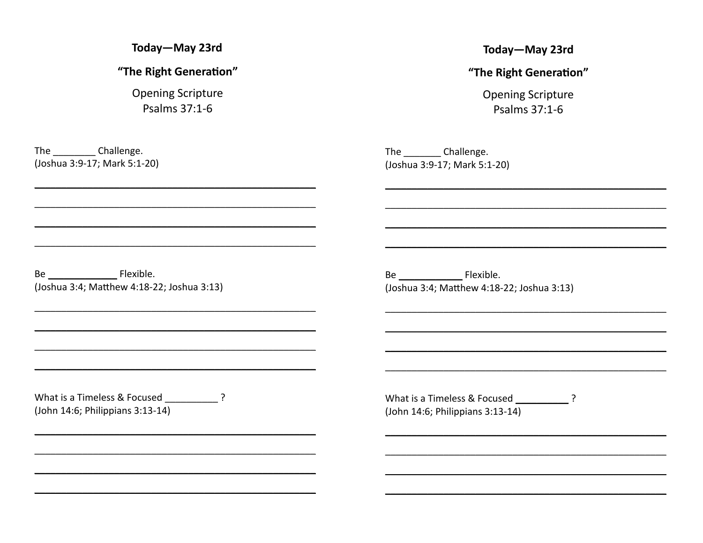Today-May 23rd

"The Right Generation"

**Opening Scripture** Psalms 37:1-6

The Challenge. (Joshua 3:9-17; Mark 5:1-20) Today-May 23rd

"The Right Generation"

**Opening Scripture** Psalms 37:1-6

The Challenge. (Joshua 3:9-17; Mark 5:1-20)

Be Flexible. (Joshua 3:4; Matthew 4:18-22; Joshua 3:13)

Be Flexible. (Joshua 3:4; Matthew 4:18-22; Joshua 3:13)

(John 14:6; Philippians 3:13-14)

What is a Timeless & Focused ? (John 14:6; Philippians 3:13-14)